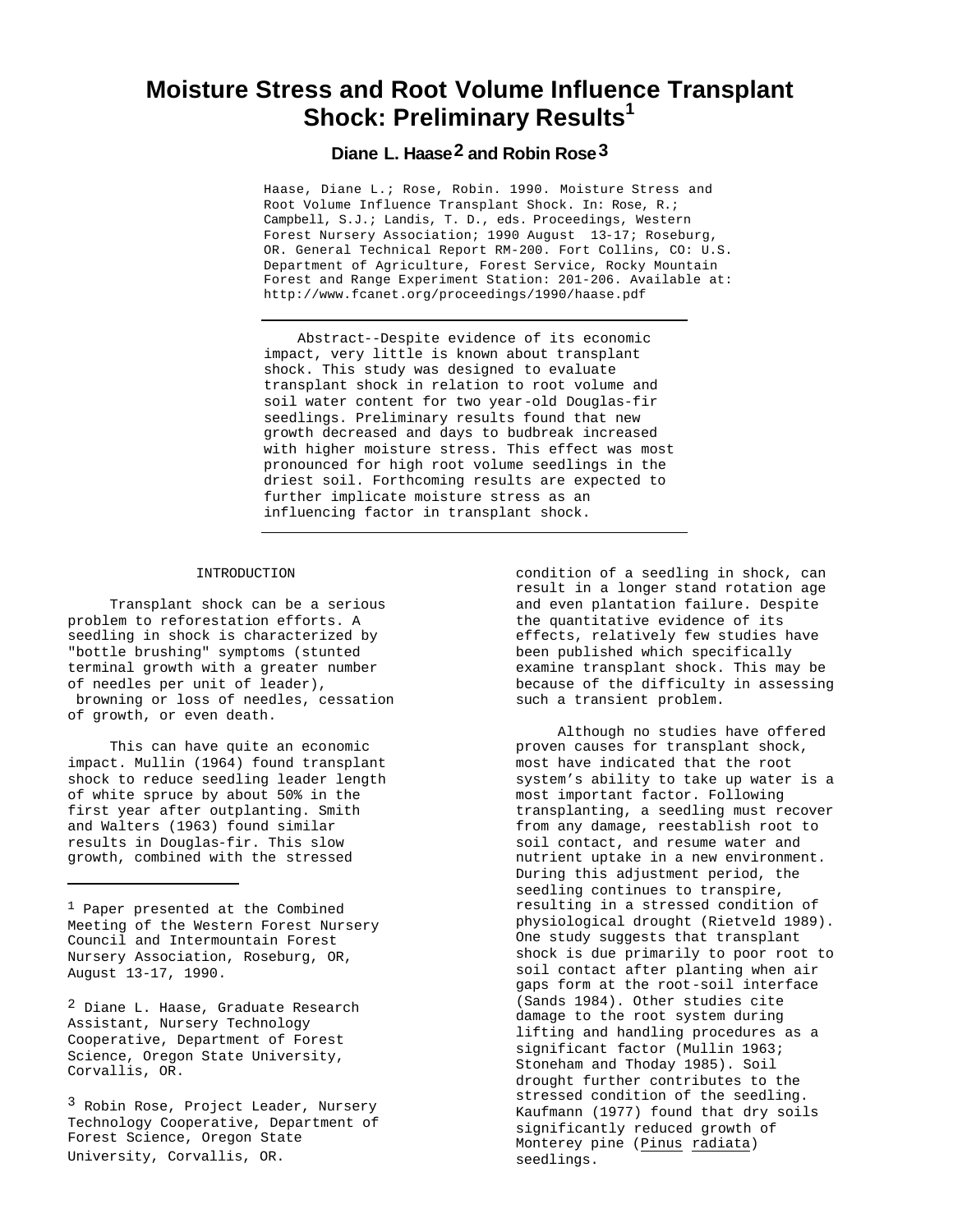# **Moisture Stress and Root Volume Influence Transplant Shock: Preliminary Results<sup>1</sup>**

# **Diane L. Haase2 and Robin Rose3**

Haase, Diane L.; Rose, Robin. 1990. Moisture Stress and Root Volume Influence Transplant Shock. In: Rose, R.; Campbell, S.J.; Landis, T. D., eds. Proceedings, Western Forest Nursery Association; 1990 August 13-17; Roseburg, OR. General Technical Report RM-200. Fort Collins, CO: U.S. Department of Agriculture, Forest Service, Rocky Mountain Forest and Range Experiment Station: 201-206. Available at: http://www.fcanet.org/proceedings/1990/haase.pdf

Abstract--Despite evidence of its economic impact, very little is known about transplant shock. This study was designed to evaluate transplant shock in relation to root volume and soil water content for two year-old Douglas-fir seedlings. Preliminary results found that new growth decreased and days to budbreak increased with higher moisture stress. This effect was most pronounced for high root volume seedlings in the driest soil. Forthcoming results are expected to further implicate moisture stress as an influencing factor in transplant shock.

#### INTRODUCTION

Transplant shock can be a serious problem to reforestation efforts. A seedling in shock is characterized by "bottle brushing" symptoms (stunted terminal growth with a greater number of needles per unit of leader), browning or loss of needles, cessation of growth, or even death.

This can have quite an economic impact. Mullin (1964) found transplant shock to reduce seedling leader length of white spruce by about 50% in the first year after outplanting. Smith and Walters (1963) found similar results in Douglas-fir. This slow growth, combined with the stressed

1 Paper presented at the Combined Meeting of the Western Forest Nursery Council and Intermountain Forest Nursery Association, Roseburg, OR, August 13-17, 1990.

2 Diane L. Haase, Graduate Research Assistant, Nursery Technology Cooperative, Department of Forest Science, Oregon State University, Corvallis, OR.

<sup>3</sup> Robin Rose, Project Leader, Nursery Technology Cooperative, Department of Forest Science, Oregon State University, Corvallis, OR.

condition of a seedling in shock, can result in a longer stand rotation age and even plantation failure. Despite the quantitative evidence of its effects, relatively few studies have been published which specifically examine transplant shock. This may be because of the difficulty in assessing such a transient problem.

Although no studies have offered proven causes for transplant shock, most have indicated that the root system's ability to take up water is a most important factor. Following transplanting, a seedling must recover from any damage, reestablish root to soil contact, and resume water and nutrient uptake in a new environment. During this adjustment period, the seedling continues to transpire, resulting in a stressed condition of physiological drought (Rietveld 1989). One study suggests that transplant shock is due primarily to poor root to soil contact after planting when air gaps form at the root-soil interface (Sands 1984). Other studies cite damage to the root system during lifting and handling procedures as a significant factor (Mullin 1963; Stoneham and Thoday 1985). Soil drought further contributes to the stressed condition of the seedling. Kaufmann (1977) found that dry soils significantly reduced growth of Monterey pine (Pinus radiata) seedlings.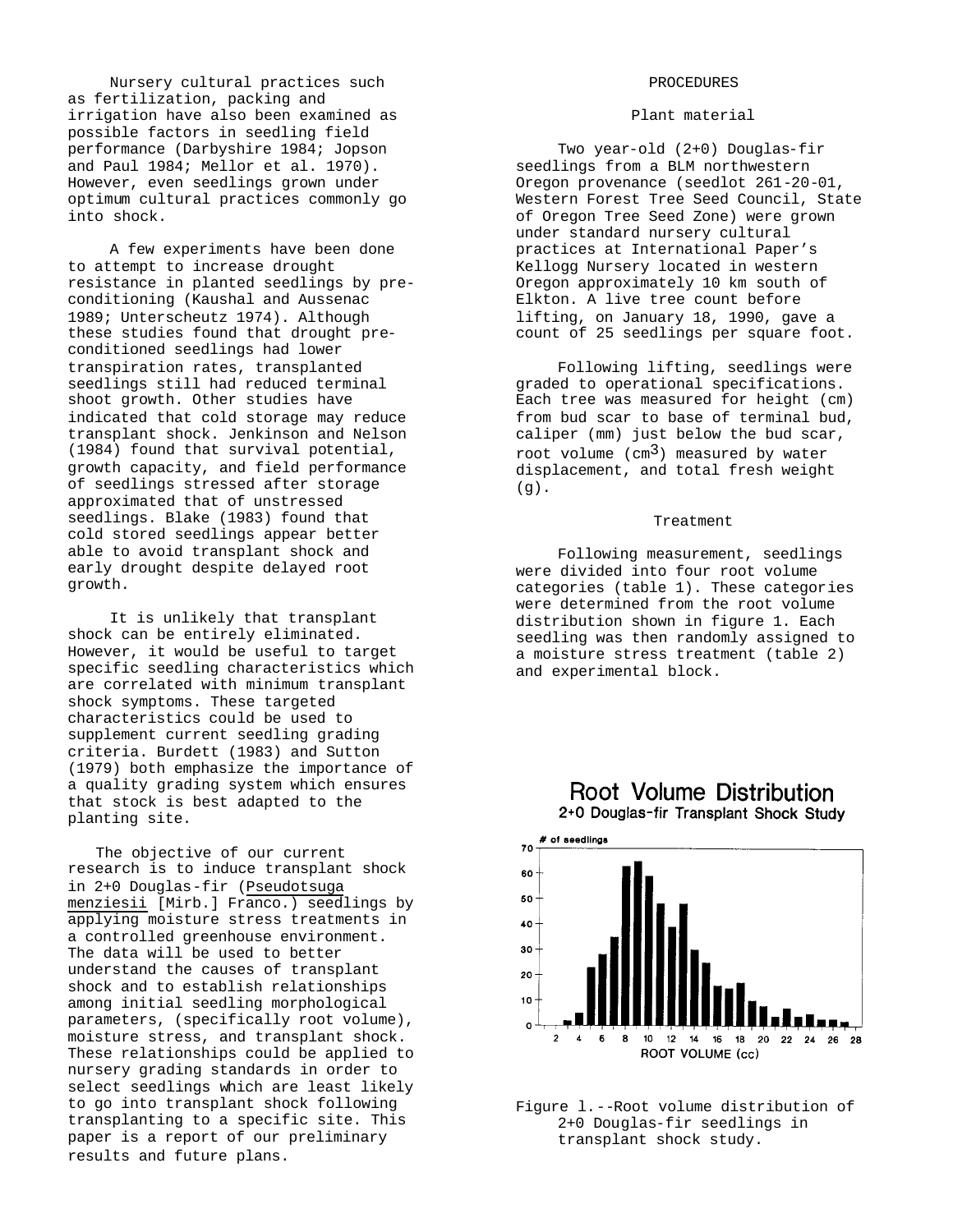Nursery cultural practices such as fertilization, packing and irrigation have also been examined as possible factors in seedling field performance (Darbyshire 1984; Jopson and Paul 1984; Mellor et al. 1970). However, even seedlings grown under optimum cultural practices commonly go into shock.

A few experiments have been done to attempt to increase drought resistance in planted seedlings by preconditioning (Kaushal and Aussenac 1989; Unterscheutz 1974). Although these studies found that drought preconditioned seedlings had lower transpiration rates, transplanted seedlings still had reduced terminal shoot growth. Other studies have indicated that cold storage may reduce transplant shock. Jenkinson and Nelson (1984) found that survival potential, growth capacity, and field performance of seedlings stressed after storage approximated that of unstressed seedlings. Blake (1983) found that cold stored seedlings appear better able to avoid transplant shock and early drought despite delayed root growth.

It is unlikely that transplant shock can be entirely eliminated. However, it would be useful to target specific seedling characteristics which are correlated with minimum transplant shock symptoms. These targeted characteristics could be used to supplement current seedling grading criteria. Burdett (1983) and Sutton (1979) both emphasize the importance of a quality grading system which ensures that stock is best adapted to the planting site.

The objective of our current research is to induce transplant shock in 2+0 Douglas-fir (Pseudotsuga menziesii [Mirb.] Franco.) seedlings by applying moisture stress treatments in a controlled greenhouse environment. The data will be used to better understand the causes of transplant shock and to establish relationships among initial seedling morphological parameters, (specifically root volume), moisture stress, and transplant shock. These relationships could be applied to nursery grading standards in order to select seedlings which are least likely to go into transplant shock following transplanting to a specific site. This paper is a report of our preliminary results and future plans.

### PROCEDURES

#### Plant material

Two year-old (2+0) Douglas-fir seedlings from a BLM northwestern Oregon provenance (seedlot 261-20-01, Western Forest Tree Seed Council, State of Oregon Tree Seed Zone) were grown under standard nursery cultural practices at International Paper's Kellogg Nursery located in western Oregon approximately 10 km south of Elkton. A live tree count before lifting, on January 18, 1990, gave a count of 25 seedlings per square foot.

Following lifting, seedlings were graded to operational specifications. Each tree was measured for height (cm) from bud scar to base of terminal bud, caliper (mm) just below the bud scar, root volume  $(cm<sup>3</sup>)$  measured by water displacement, and total fresh weight  $(q)$ .

# Treatment

Following measurement, seedlings were divided into four root volume categories (table 1). These categories were determined from the root volume distribution shown in figure 1. Each seedling was then randomly assigned to a moisture stress treatment (table 2) and experimental block.



2+0 Douglas-fir Transplant Shock Study



Figure l.--Root volume distribution of 2+0 Douglas-fir seedlings in transplant shock study.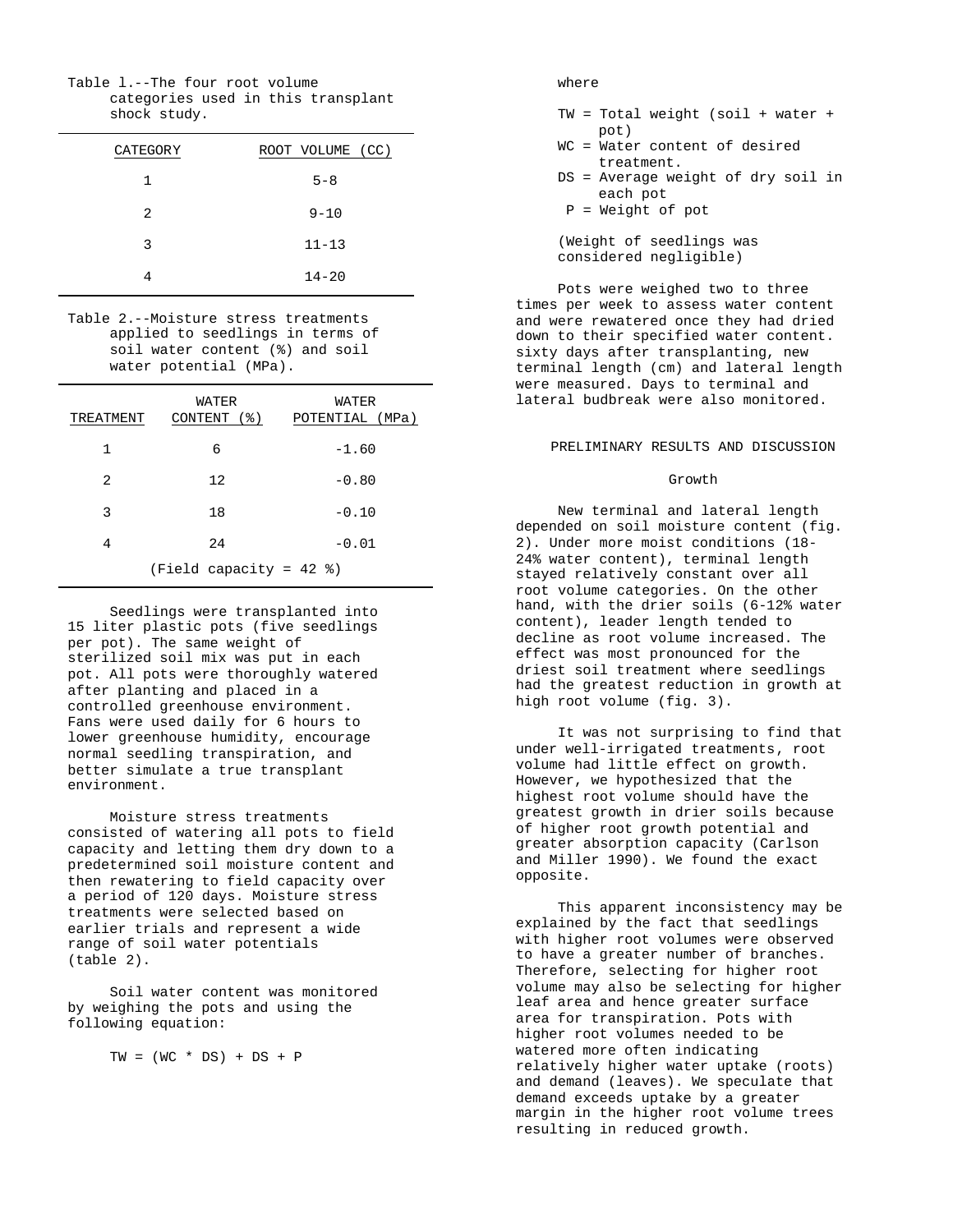Table l.--The four root volume categories used in this transplant shock study.

| <b>CATEGORY</b> | ROOT VOLUME (CC) |
|-----------------|------------------|
| 1               | $5 - 8$          |
| 2               | $9 - 10$         |
| 3               | $11 - 13$        |
|                 | $14 - 20$        |

Table 2.--Moisture stress treatments applied to seedlings in terms of soil water content (%) and soil water potential (MPa).

| TREATMENT | WATER<br>CONTENT (%)      | WATER<br>POTENTIAL (MPa) |
|-----------|---------------------------|--------------------------|
| 1         | 6                         | $-1.60$                  |
| 2         | 12                        | $-0.80$                  |
| 3         | 18                        | $-0.10$                  |
| 4         | 24                        | $-0.01$                  |
|           | (Field capacity = $42$ %) |                          |

Seedlings were transplanted into 15 liter plastic pots (five seedlings per pot). The same weight of sterilized soil mix was put in each pot. All pots were thoroughly watered after planting and placed in a controlled greenhouse environment. Fans were used daily for 6 hours to lower greenhouse humidity, encourage normal seedling transpiration, and better simulate a true transplant environment.

Moisture stress treatments consisted of watering all pots to field capacity and letting them dry down to a predetermined soil moisture content and then rewatering to field capacity over a period of 120 days. Moisture stress treatments were selected based on earlier trials and represent a wide range of soil water potentials (table 2).

Soil water content was monitored by weighing the pots and using the following equation:

 $TW = (WC * DS) + DS + P$ 

## where

- TW = Total weight (soil + water + pot)
- WC = Water content of desired treatment.
- DS = Average weight of dry soil in each pot
- P = Weight of pot

(Weight of seedlings was considered negligible)

Pots were weighed two to three times per week to assess water content and were rewatered once they had dried down to their specified water content. sixty days after transplanting, new terminal length (cm) and lateral length were measured. Days to terminal and lateral budbreak were also monitored.

#### PRELIMINARY RESULTS AND DISCUSSION

#### Growth

New terminal and lateral length depended on soil moisture content (fig. 2). Under more moist conditions (18- 24% water content), terminal length stayed relatively constant over all root volume categories. On the other hand, with the drier soils (6-12% water content), leader length tended to decline as root volume increased. The effect was most pronounced for the driest soil treatment where seedlings had the greatest reduction in growth at high root volume (fig. 3).

It was not surprising to find that under well-irrigated treatments, root volume had little effect on growth. However, we hypothesized that the highest root volume should have the greatest growth in drier soils because of higher root growth potential and greater absorption capacity (Carlson and Miller 1990). We found the exact opposite.

This apparent inconsistency may be explained by the fact that seedlings with higher root volumes were observed to have a greater number of branches. Therefore, selecting for higher root volume may also be selecting for higher leaf area and hence greater surface area for transpiration. Pots with higher root volumes needed to be watered more often indicating relatively higher water uptake (roots) and demand (leaves). We speculate that demand exceeds uptake by a greater margin in the higher root volume trees resulting in reduced growth.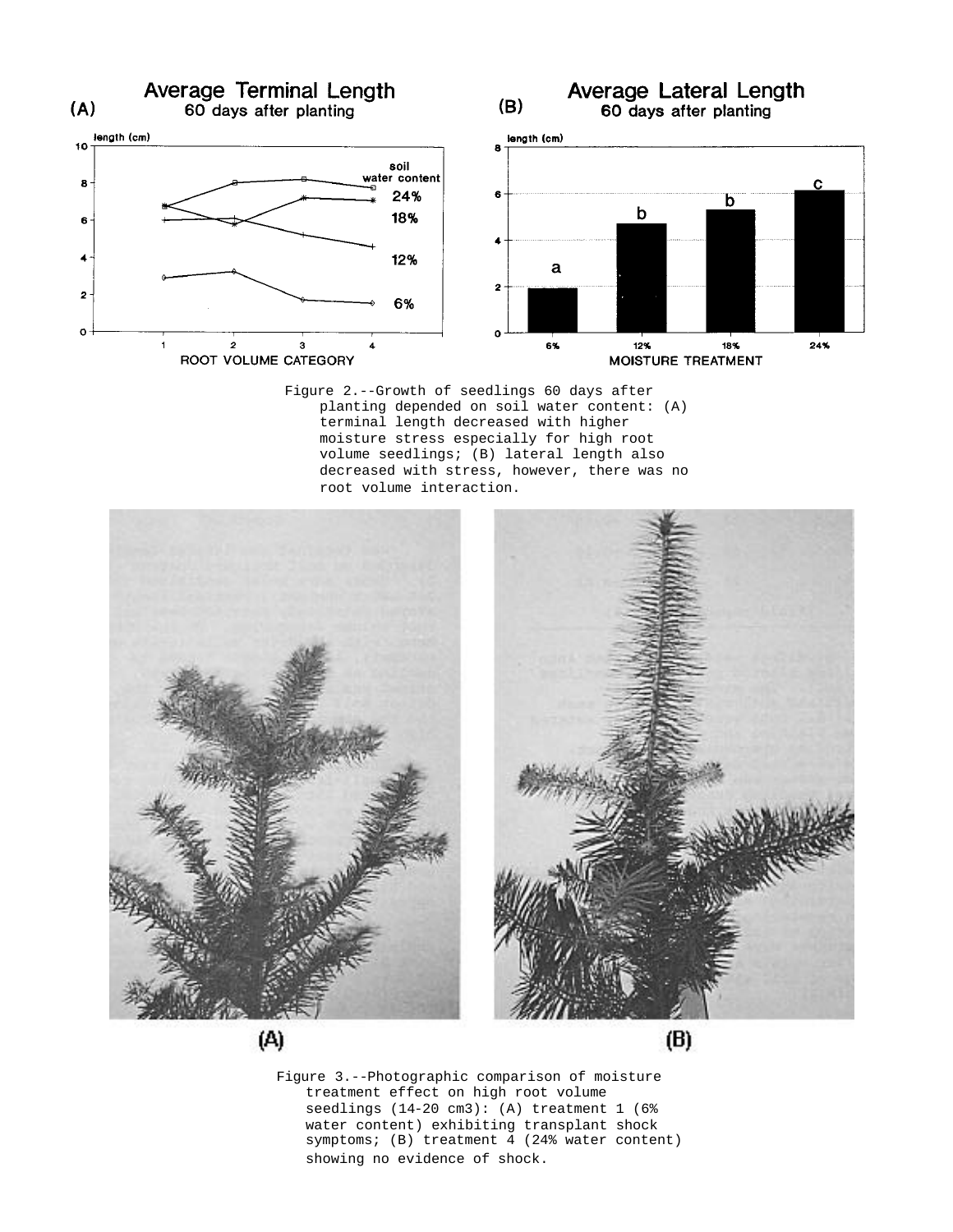

Figure 2.--Growth of seedlings 60 days after planting depended on soil water content: (A) terminal length decreased with higher moisture stress especially for high root volume seedlings; (B) lateral length also decreased with stress, however, there was no root volume interaction.



Figure 3.--Photographic comparison of moisture treatment effect on high root volume seedlings (14-20 cm3): (A) treatment 1 (6% water content) exhibiting transplant shock symptoms; (B) treatment 4 (24% water content) showing no evidence of shock.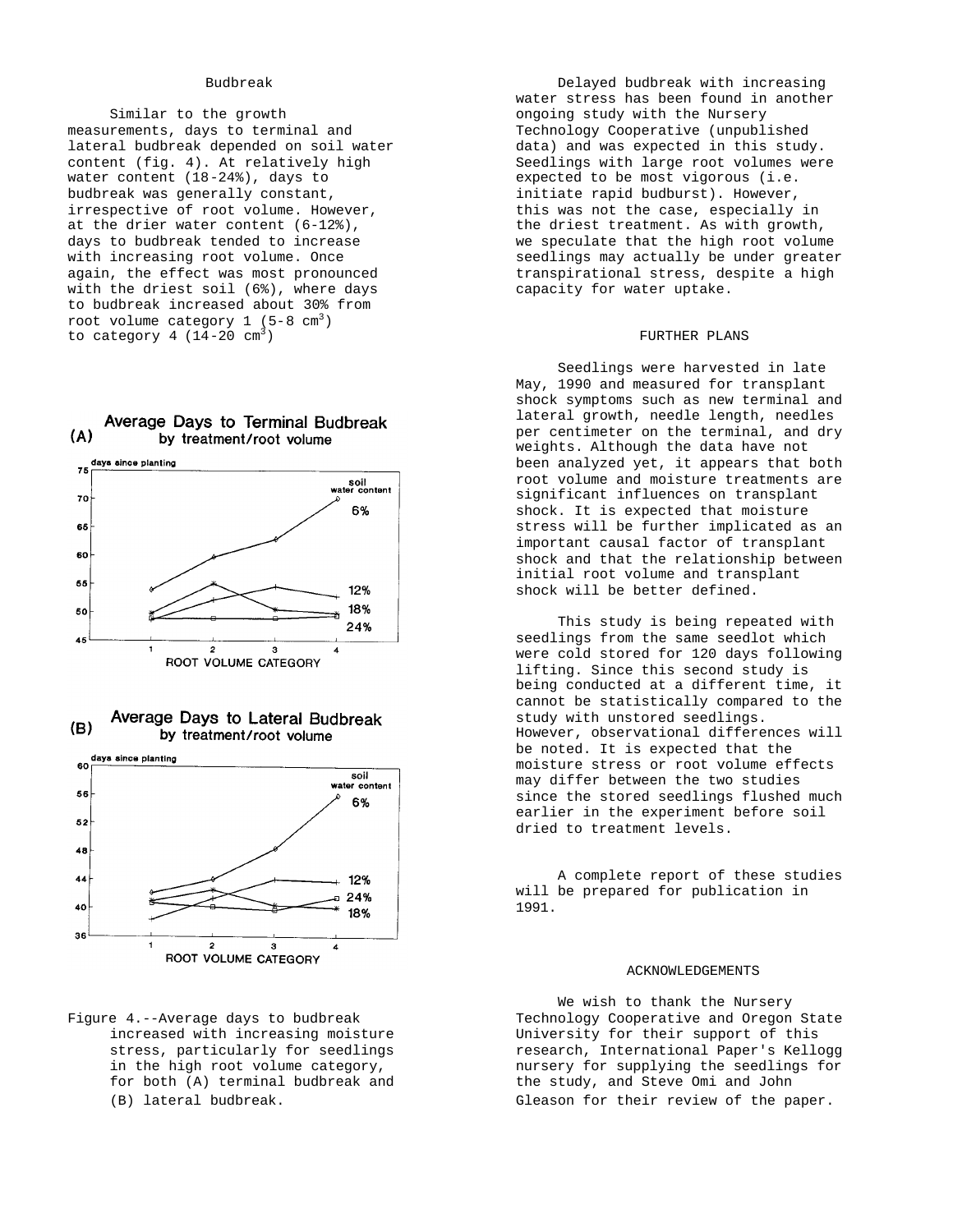### Budbreak

Similar to the growth measurements, days to terminal and lateral budbreak depended on soil water content (fig. 4). At relatively high water content (18-24%), days to budbreak was generally constant, irrespective of root volume. However, at the drier water content (6-12%), days to budbreak tended to increase with increasing root volume. Once again, the effect was most pronounced with the driest soil (6%), where days to budbreak increased about 30% from root volume category  $1$  (5-8 cm<sup>3</sup>) to category 4  $(14-20 \text{ cm}^3)$ 









Delayed budbreak with increasing water stress has been found in another ongoing study with the Nursery Technology Cooperative (unpublished data) and was expected in this study. Seedlings with large root volumes were expected to be most vigorous (i.e. initiate rapid budburst). However, this was not the case, especially in the driest treatment. As with growth, we speculate that the high root volume seedlings may actually be under greater transpirational stress, despite a high capacity for water uptake.

#### FURTHER PLANS

Seedlings were harvested in late May, 1990 and measured for transplant shock symptoms such as new terminal and lateral growth, needle length, needles per centimeter on the terminal, and dry weights. Although the data have not been analyzed yet, it appears that both root volume and moisture treatments are significant influences on transplant shock. It is expected that moisture stress will be further implicated as an important causal factor of transplant shock and that the relationship between initial root volume and transplant shock will be better defined.

This study is being repeated with seedlings from the same seedlot which were cold stored for 120 days following lifting. Since this second study is being conducted at a different time, it cannot be statistically compared to the study with unstored seedlings. However, observational differences will be noted. It is expected that the moisture stress or root volume effects may differ between the two studies since the stored seedlings flushed much earlier in the experiment before soil dried to treatment levels.

A complete report of these studies will be prepared for publication in 1991.

#### ACKNOWLEDGEMENTS

We wish to thank the Nursery Technology Cooperative and Oregon State University for their support of this research, International Paper's Kellogg nursery for supplying the seedlings for the study, and Steve Omi and John Gleason for their review of the paper.